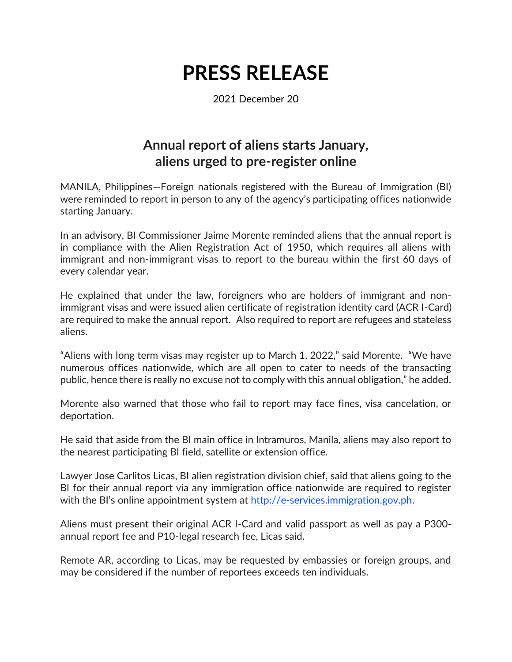## **PRESS RELEASE**

2021 December 20

## **Annual report of aliens starts January, aliens urged to pre-register online**

MANILA, Philippines—Foreign nationals registered with the Bureau of Immigration (BI) were reminded to report in person to any of the agency's participating offices nationwide starting January.

In an advisory, BI Commissioner Jaime Morente reminded aliens that the annual report is in compliance with the Alien Registration Act of 1950, which requires all aliens with immigrant and non-immigrant visas to report to the bureau within the first 60 days of every calendar year.

He explained that under the law, foreigners who are holders of immigrant and nonimmigrant visas and were issued alien certificate of registration identity card (ACR I-Card) are required to make the annual report. Also required to report are refugees and stateless aliens.

"Aliens with long term visas may register up to March 1, 2022," said Morente. "We have numerous offices nationwide, which are all open to cater to needs of the transacting public, hence there is really no excuse not to comply with this annual obligation," he added.

Morente also warned that those who fail to report may face fines, visa cancelation, or deportation.

He said that aside from the BI main office in Intramuros, Manila, aliens may also report to the nearest participating BI field, satellite or extension office.

Lawyer Jose Carlitos Licas, BI alien registration division chief, said that aliens going to the BI for their annual report via any immigration office nationwide are required to register with the BI's online appointment system at [http://e-services.immigration.gov.ph.](http://e-services.immigration.gov.ph/)

Aliens must present their original ACR I-Card and valid passport as well as pay a P300 annual report fee and P10-legal research fee, Licas said.

Remote AR, according to Licas, may be requested by embassies or foreign groups, and may be considered if the number of reportees exceeds ten individuals.